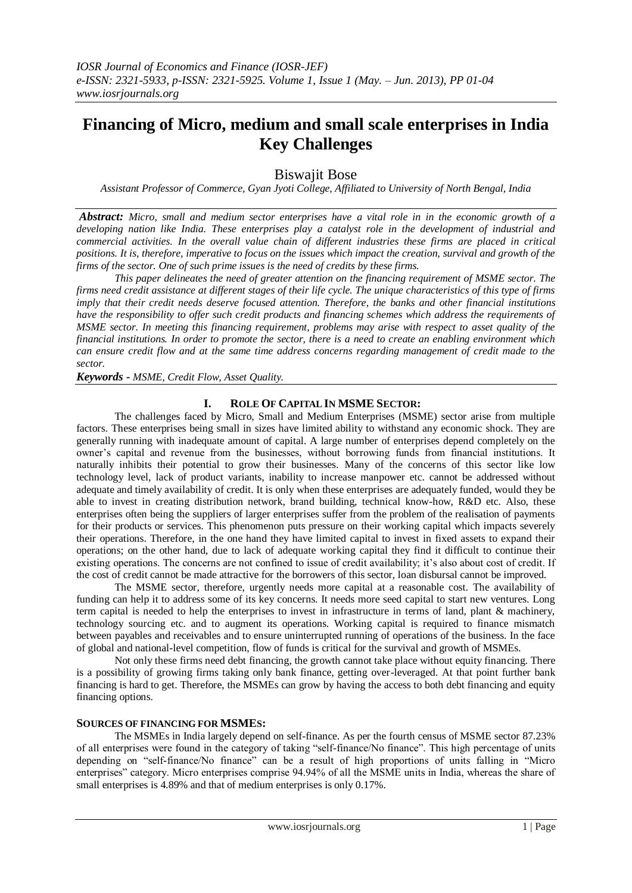# **Financing of Micro, medium and small scale enterprises in India Key Challenges**

Biswajit Bose

*Assistant Professor of Commerce, Gyan Jyoti College, Affiliated to University of North Bengal, India*

*Abstract: Micro, small and medium sector enterprises have a vital role in in the economic growth of a developing nation like India. These enterprises play a catalyst role in the development of industrial and commercial activities. In the overall value chain of different industries these firms are placed in critical positions. It is, therefore, imperative to focus on the issues which impact the creation, survival and growth of the firms of the sector. One of such prime issues is the need of credits by these firms.*

*This paper delineates the need of greater attention on the financing requirement of MSME sector. The firms need credit assistance at different stages of their life cycle. The unique characteristics of this type of firms imply that their credit needs deserve focused attention. Therefore, the banks and other financial institutions have the responsibility to offer such credit products and financing schemes which address the requirements of MSME sector. In meeting this financing requirement, problems may arise with respect to asset quality of the financial institutions. In order to promote the sector, there is a need to create an enabling environment which can ensure credit flow and at the same time address concerns regarding management of credit made to the sector.*

*Keywords - MSME, Credit Flow, Asset Quality.*

## **I. ROLE OF CAPITAL IN MSME SECTOR:**

The challenges faced by Micro, Small and Medium Enterprises (MSME) sector arise from multiple factors. These enterprises being small in sizes have limited ability to withstand any economic shock. They are generally running with inadequate amount of capital. A large number of enterprises depend completely on the owner's capital and revenue from the businesses, without borrowing funds from financial institutions. It naturally inhibits their potential to grow their businesses. Many of the concerns of this sector like low technology level, lack of product variants, inability to increase manpower etc. cannot be addressed without adequate and timely availability of credit. It is only when these enterprises are adequately funded, would they be able to invest in creating distribution network, brand building, technical know-how, R&D etc. Also, these enterprises often being the suppliers of larger enterprises suffer from the problem of the realisation of payments for their products or services. This phenomenon puts pressure on their working capital which impacts severely their operations. Therefore, in the one hand they have limited capital to invest in fixed assets to expand their operations; on the other hand, due to lack of adequate working capital they find it difficult to continue their existing operations. The concerns are not confined to issue of credit availability; it's also about cost of credit. If the cost of credit cannot be made attractive for the borrowers of this sector, loan disbursal cannot be improved.

The MSME sector, therefore, urgently needs more capital at a reasonable cost. The availability of funding can help it to address some of its key concerns. It needs more seed capital to start new ventures. Long term capital is needed to help the enterprises to invest in infrastructure in terms of land, plant & machinery, technology sourcing etc. and to augment its operations. Working capital is required to finance mismatch between payables and receivables and to ensure uninterrupted running of operations of the business. In the face of global and national-level competition, flow of funds is critical for the survival and growth of MSMEs.

Not only these firms need debt financing, the growth cannot take place without equity financing. There is a possibility of growing firms taking only bank finance, getting over-leveraged. At that point further bank financing is hard to get. Therefore, the MSMEs can grow by having the access to both debt financing and equity financing options.

## **SOURCES OF FINANCING FOR MSMES:**

 The MSMEs in India largely depend on self-finance. As per the fourth census of MSME sector 87.23% of all enterprises were found in the category of taking "self-finance/No finance". This high percentage of units depending on "self-finance/No finance" can be a result of high proportions of units falling in "Micro" enterprises" category. Micro enterprises comprise 94.94% of all the MSME units in India, whereas the share of small enterprises is 4.89% and that of medium enterprises is only 0.17%.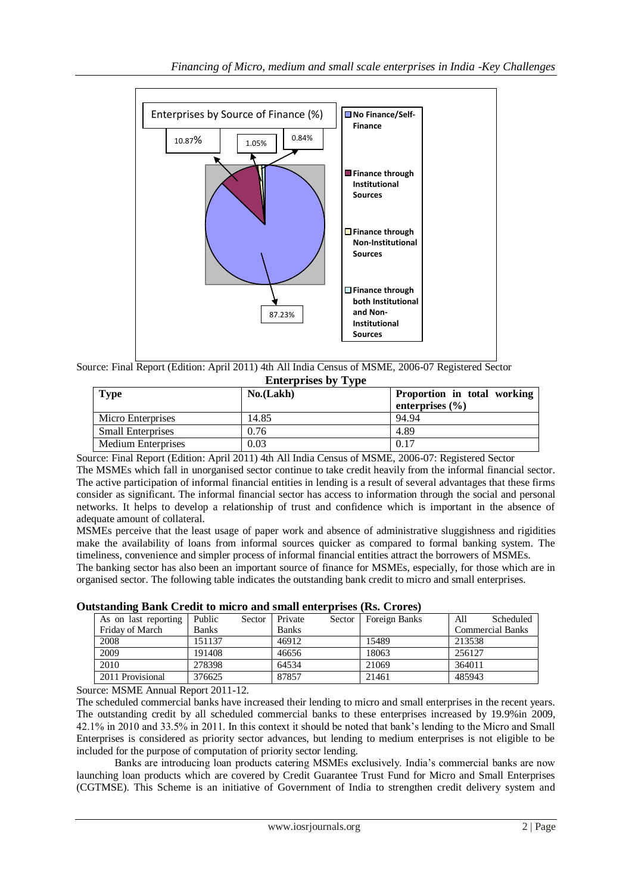

Source: Final Report (Edition: April 2011) 4th All India Census of MSME, 2006-07 Registered Sector **Enterprises by Type**

| <b>Type</b>               | No.(Lakh) | Proportion in total working<br>enterprises $(\% )$ |
|---------------------------|-----------|----------------------------------------------------|
| Micro Enterprises         | 14.85     | 94.94                                              |
| <b>Small Enterprises</b>  | 0.76      | 4.89                                               |
| <b>Medium Enterprises</b> | 0.03      | 0.17                                               |

Source: Final Report (Edition: April 2011) 4th All India Census of MSME, 2006-07: Registered Sector The MSMEs which fall in unorganised sector continue to take credit heavily from the informal financial sector. The active participation of informal financial entities in lending is a result of several advantages that these firms consider as significant. The informal financial sector has access to information through the social and personal networks. It helps to develop a relationship of trust and confidence which is important in the absence of adequate amount of collateral.

MSMEs perceive that the least usage of paper work and absence of administrative sluggishness and rigidities make the availability of loans from informal sources quicker as compared to formal banking system. The timeliness, convenience and simpler process of informal financial entities attract the borrowers of MSMEs.

The banking sector has also been an important source of finance for MSMEs, especially, for those which are in organised sector. The following table indicates the outstanding bank credit to micro and small enterprises.

| ustanding Bank Credit to hucro and sman enterprises (Ks. Crores) |              |        |              |        |               |                         |
|------------------------------------------------------------------|--------------|--------|--------------|--------|---------------|-------------------------|
| As on last reporting                                             | Public       | Sector | Private      | Sector | Foreign Banks | Scheduled<br>All        |
| Friday of March                                                  | <b>Banks</b> |        | <b>Banks</b> |        |               | <b>Commercial Banks</b> |
| 2008                                                             | 151137       |        | 46912        |        | 15489         | 213538                  |
| 2009                                                             | 191408       |        | 46656        |        | 18063         | 256127                  |
| 2010                                                             | 278398       |        | 64534        |        | 21069         | 364011                  |
| 2011 Provisional                                                 | 376625       |        | 87857        |        | 21461         | 485943                  |

**Outstanding Bank Credit to micro and small enterprises (Rs. Crores)**

Source: MSME Annual Report 2011-12.

The scheduled commercial banks have increased their lending to micro and small enterprises in the recent years. The outstanding credit by all scheduled commercial banks to these enterprises increased by 19.9%in 2009, 42.1% in 2010 and 33.5% in 2011. In this context it should be noted that bank's lending to the Micro and Small Enterprises is considered as priority sector advances, but lending to medium enterprises is not eligible to be included for the purpose of computation of priority sector lending.

Banks are introducing loan products catering MSMEs exclusively. India's commercial banks are now launching loan products which are covered by Credit Guarantee Trust Fund for Micro and Small Enterprises (CGTMSE). This Scheme is an initiative of Government of India to strengthen credit delivery system and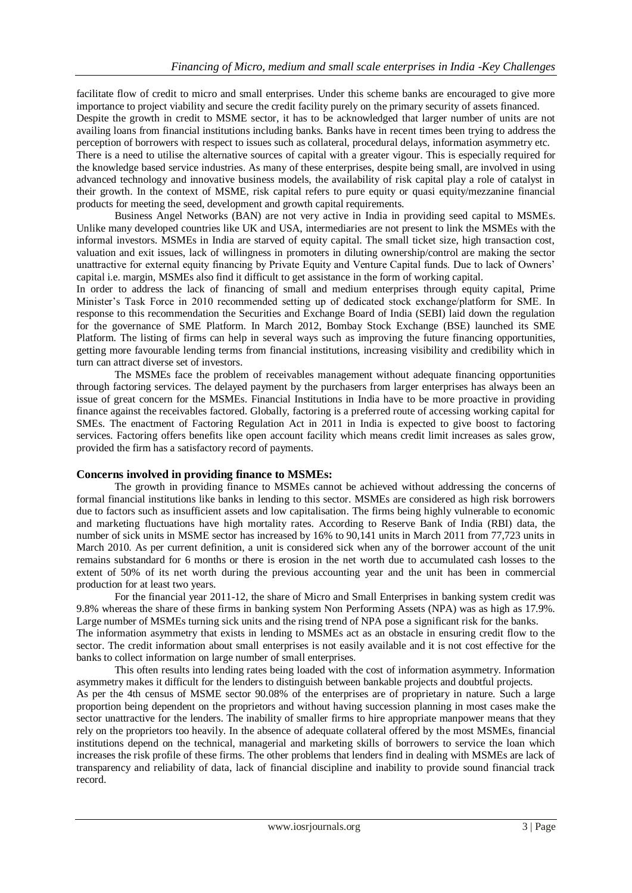facilitate flow of credit to micro and small enterprises. Under this scheme banks are encouraged to give more importance to project viability and secure the credit facility purely on the primary security of assets financed. Despite the growth in credit to MSME sector, it has to be acknowledged that larger number of units are not availing loans from financial institutions including banks. Banks have in recent times been trying to address the perception of borrowers with respect to issues such as collateral, procedural delays, information asymmetry etc. There is a need to utilise the alternative sources of capital with a greater vigour. This is especially required for the knowledge based service industries. As many of these enterprises, despite being small, are involved in using advanced technology and innovative business models, the availability of risk capital play a role of catalyst in their growth. In the context of MSME, risk capital refers to pure equity or quasi equity/mezzanine financial products for meeting the seed, development and growth capital requirements.

Business Angel Networks (BAN) are not very active in India in providing seed capital to MSMEs. Unlike many developed countries like UK and USA, intermediaries are not present to link the MSMEs with the informal investors. MSMEs in India are starved of equity capital. The small ticket size, high transaction cost, valuation and exit issues, lack of willingness in promoters in diluting ownership/control are making the sector unattractive for external equity financing by Private Equity and Venture Capital funds. Due to lack of Owners' capital i.e. margin, MSMEs also find it difficult to get assistance in the form of working capital.

In order to address the lack of financing of small and medium enterprises through equity capital, Prime Minister's Task Force in 2010 recommended setting up of dedicated stock exchange/platform for SME. In response to this recommendation the Securities and Exchange Board of India (SEBI) laid down the regulation for the governance of SME Platform. In March 2012, Bombay Stock Exchange (BSE) launched its SME Platform. The listing of firms can help in several ways such as improving the future financing opportunities, getting more favourable lending terms from financial institutions, increasing visibility and credibility which in turn can attract diverse set of investors.

The MSMEs face the problem of receivables management without adequate financing opportunities through factoring services. The delayed payment by the purchasers from larger enterprises has always been an issue of great concern for the MSMEs. Financial Institutions in India have to be more proactive in providing finance against the receivables factored. Globally, factoring is a preferred route of accessing working capital for SMEs. The enactment of Factoring Regulation Act in 2011 in India is expected to give boost to factoring services. Factoring offers benefits like open account facility which means credit limit increases as sales grow, provided the firm has a satisfactory record of payments.

## **Concerns involved in providing finance to MSMEs:**

The growth in providing finance to MSMEs cannot be achieved without addressing the concerns of formal financial institutions like banks in lending to this sector. MSMEs are considered as high risk borrowers due to factors such as insufficient assets and low capitalisation. The firms being highly vulnerable to economic and marketing fluctuations have high mortality rates. According to Reserve Bank of India (RBI) data, the number of sick units in MSME sector has increased by 16% to 90,141 units in March 2011 from 77,723 units in March 2010. As per current definition, a unit is considered sick when any of the borrower account of the unit remains substandard for 6 months or there is erosion in the net worth due to accumulated cash losses to the extent of 50% of its net worth during the previous accounting year and the unit has been in commercial production for at least two years.

For the financial year 2011-12, the share of Micro and Small Enterprises in banking system credit was 9.8% whereas the share of these firms in banking system Non Performing Assets (NPA) was as high as 17.9%. Large number of MSMEs turning sick units and the rising trend of NPA pose a significant risk for the banks. The information asymmetry that exists in lending to MSMEs act as an obstacle in ensuring credit flow to the sector. The credit information about small enterprises is not easily available and it is not cost effective for the banks to collect information on large number of small enterprises.

This often results into lending rates being loaded with the cost of information asymmetry. Information asymmetry makes it difficult for the lenders to distinguish between bankable projects and doubtful projects. As per the 4th census of MSME sector 90.08% of the enterprises are of proprietary in nature. Such a large proportion being dependent on the proprietors and without having succession planning in most cases make the sector unattractive for the lenders. The inability of smaller firms to hire appropriate manpower means that they rely on the proprietors too heavily. In the absence of adequate collateral offered by the most MSMEs, financial institutions depend on the technical, managerial and marketing skills of borrowers to service the loan which increases the risk profile of these firms. The other problems that lenders find in dealing with MSMEs are lack of transparency and reliability of data, lack of financial discipline and inability to provide sound financial track record.